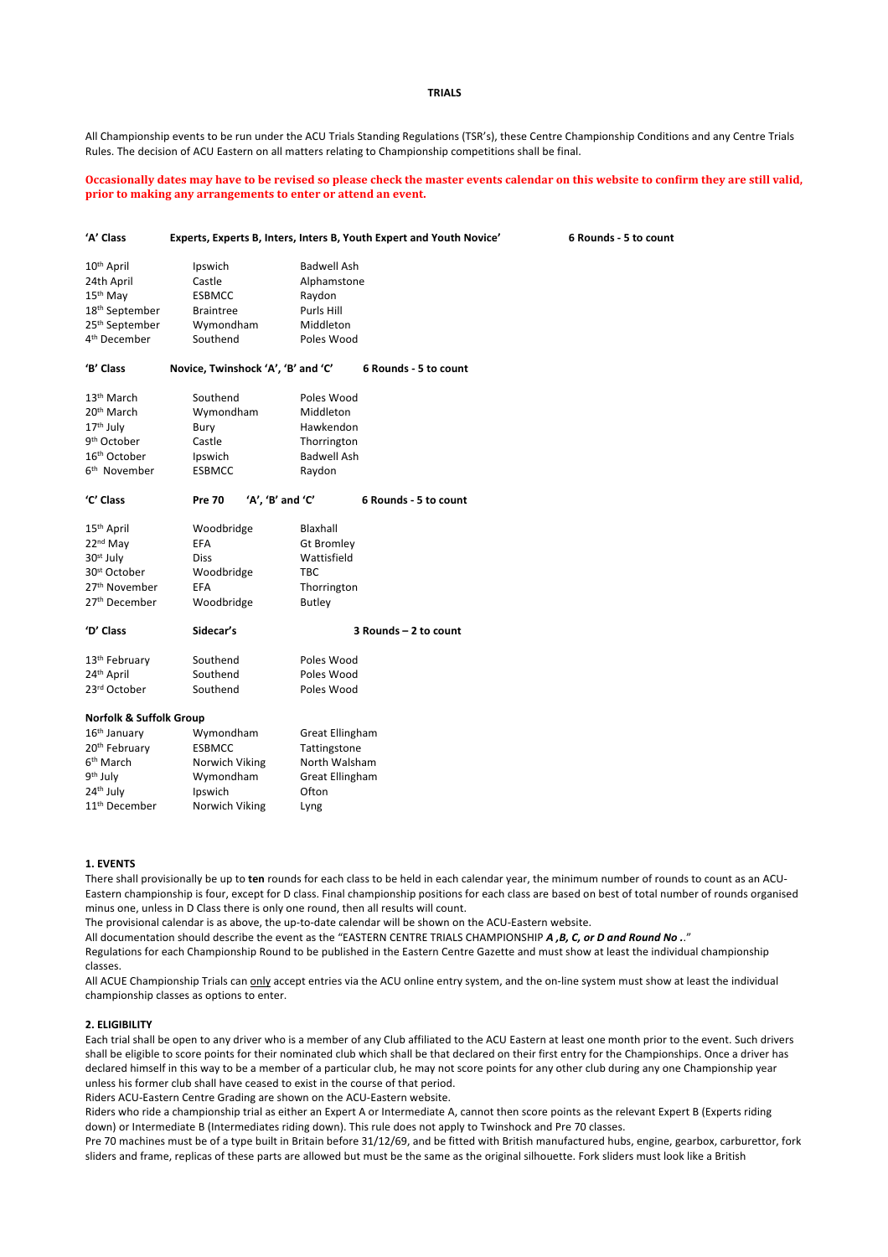### **TRIALS**

All Championship events to be run under the ACU Trials Standing Regulations (TSR's), these Centre Championship Conditions and any Centre Trials Rules. The decision of ACU Eastern on all matters relating to Championship competitions shall be final.

**Occasionally dates may have to be revised so please check the master events calendar on this website to confirm they are still valid, prior to making any arrangements to enter or attend an event.** 

| 'A' Class                  | Experts, Experts B, Inters, Inters B, Youth Expert and Youth Novice'<br>6 Rounds - 5 to count |                    |                       |  |
|----------------------------|-----------------------------------------------------------------------------------------------|--------------------|-----------------------|--|
| 10 <sup>th</sup> April     | Ipswich                                                                                       | <b>Badwell Ash</b> |                       |  |
| 24th April                 | Castle                                                                                        | Alphamstone        |                       |  |
| 15 <sup>th</sup> May       | <b>ESBMCC</b>                                                                                 | Raydon             |                       |  |
| 18 <sup>th</sup> September | <b>Braintree</b>                                                                              | Purls Hill         |                       |  |
| 25 <sup>th</sup> September | Wymondham                                                                                     | Middleton          |                       |  |
| 4 <sup>th</sup> December   | Southend                                                                                      | Poles Wood         |                       |  |
| 'B' Class                  | Novice, Twinshock 'A', 'B' and 'C'                                                            |                    | 6 Rounds - 5 to count |  |
| 13 <sup>th</sup> March     | Southend                                                                                      | Poles Wood         |                       |  |
| 20 <sup>th</sup> March     | Wymondham                                                                                     | Middleton          |                       |  |
| 17 <sup>th</sup> July      | Bury                                                                                          | Hawkendon          |                       |  |
| 9 <sup>th</sup> October    | Castle                                                                                        | Thorrington        |                       |  |
| 16 <sup>th</sup> October   | Ipswich                                                                                       | <b>Badwell Ash</b> |                       |  |
| 6 <sup>th</sup> November   | <b>ESBMCC</b>                                                                                 | Raydon             |                       |  |
| 'C' Class                  | 'A', 'B' and 'C'<br><b>Pre 70</b>                                                             |                    | 6 Rounds - 5 to count |  |
| 15 <sup>th</sup> April     | Woodbridge                                                                                    | Blaxhall           |                       |  |
| 22 <sup>nd</sup> May       | <b>EFA</b>                                                                                    | <b>Gt Bromley</b>  |                       |  |
| 30 <sup>st</sup> July      | <b>Diss</b>                                                                                   | Wattisfield        |                       |  |
| 30 <sup>st</sup> October   | Woodbridge                                                                                    | <b>TBC</b>         |                       |  |
| 27 <sup>th</sup> November  | <b>EFA</b>                                                                                    | Thorrington        |                       |  |
| 27 <sup>th</sup> December  | Woodbridge                                                                                    | <b>Butley</b>      |                       |  |
| 'D' Class                  | Sidecar's                                                                                     |                    | 3 Rounds - 2 to count |  |
| 13 <sup>th</sup> February  | Southend                                                                                      | Poles Wood         |                       |  |
| 24 <sup>th</sup> April     | Southend                                                                                      | Poles Wood         |                       |  |
| 23rd October               | Southend                                                                                      | Poles Wood         |                       |  |
| Norfolk & Suffolk Group    |                                                                                               |                    |                       |  |
| 16 <sup>th</sup> January   | Wymondham                                                                                     | Great Ellingham    |                       |  |
| 20 <sup>th</sup> February  | <b>ESBMCC</b>                                                                                 | Tattingstone       |                       |  |
| 6 <sup>th</sup> March      | Norwich Viking                                                                                | North Walsham      |                       |  |
| 9th July                   | Wymondham                                                                                     | Great Ellingham    |                       |  |
| 24th July                  | Ipswich                                                                                       | Ofton              |                       |  |

### **1. EVENTS**

11<sup>th</sup> December Norwich Viking Lyng

There shall provisionally be up to **ten** rounds for each class to be held in each calendar year, the minimum number of rounds to count as an ACU-Eastern championship is four, except for D class. Final championship positions for each class are based on best of total number of rounds organised minus one, unless in D Class there is only one round, then all results will count.

The provisional calendar is as above, the up-to-date calendar will be shown on the ACU-Eastern website.

All documentation should describe the event as the "EASTERN CENTRE TRIALS CHAMPIONSHIP *A ,B, C, or D and Round No .*."

Regulations for each Championship Round to be published in the Eastern Centre Gazette and must show at least the individual championship classes.

All ACUE Championship Trials can only accept entries via the ACU online entry system, and the on-line system must show at least the individual championship classes as options to enter.

### **2. ELIGIBILITY**

Each trial shall be open to any driver who is a member of any Club affiliated to the ACU Eastern at least one month prior to the event. Such drivers shall be eligible to score points for their nominated club which shall be that declared on their first entry for the Championships. Once a driver has declared himself in this way to be a member of a particular club, he may not score points for any other club during any one Championship year unless his former club shall have ceased to exist in the course of that period.

Riders ACU-Eastern Centre Grading are shown on the ACU-Eastern website.

Riders who ride a championship trial as either an Expert A or Intermediate A, cannot then score points as the relevant Expert B (Experts riding down) or Intermediate B (Intermediates riding down). This rule does not apply to Twinshock and Pre 70 classes.

Pre 70 machines must be of a type built in Britain before 31/12/69, and be fitted with British manufactured hubs, engine, gearbox, carburettor, fork sliders and frame, replicas of these parts are allowed but must be the same as the original silhouette. Fork sliders must look like a British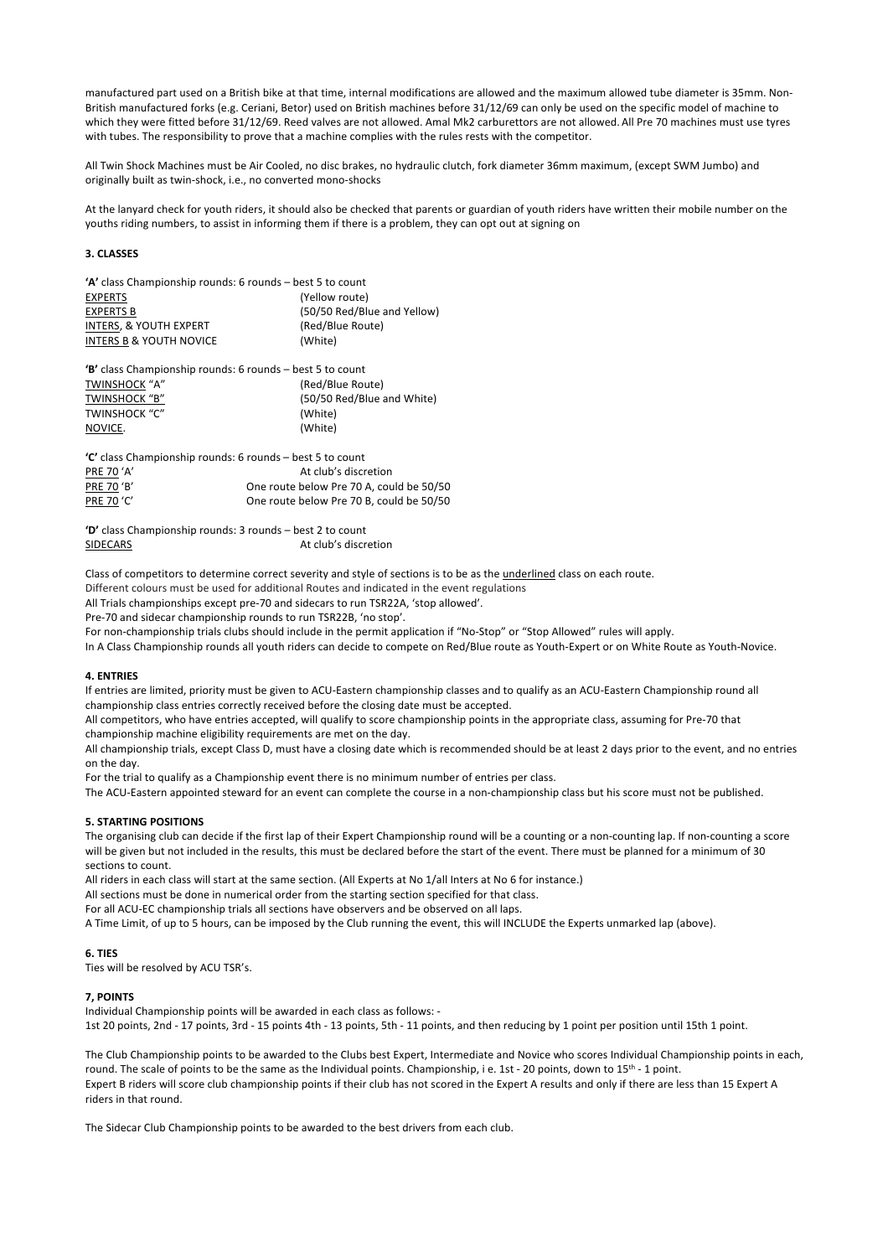manufactured part used on a British bike at that time, internal modifications are allowed and the maximum allowed tube diameter is 35mm. Non-British manufactured forks (e.g. Ceriani, Betor) used on British machines before 31/12/69 can only be used on the specific model of machine to which they were fitted before 31/12/69. Reed valves are not allowed. Amal Mk2 carburettors are not allowed. All Pre 70 machines must use tyres with tubes. The responsibility to prove that a machine complies with the rules rests with the competitor.

All Twin Shock Machines must be Air Cooled, no disc brakes, no hydraulic clutch, fork diameter 36mm maximum, (except SWM Jumbo) and originally built as twin-shock, i.e., no converted mono-shocks

At the lanyard check for youth riders, it should also be checked that parents or guardian of youth riders have written their mobile number on the youths riding numbers, to assist in informing them if there is a problem, they can opt out at signing on

### **3. CLASSES**

| 'A' class Championship rounds: 6 rounds – best 5 to count |                             |  |  |  |
|-----------------------------------------------------------|-----------------------------|--|--|--|
| <b>EXPERTS</b>                                            | (Yellow route)              |  |  |  |
| <b>EXPERTS B</b>                                          | (50/50 Red/Blue and Yellow) |  |  |  |
| INTERS, & YOUTH EXPERT                                    | (Red/Blue Route)            |  |  |  |
| <b>INTERS B &amp; YOUTH NOVICE</b>                        | (White)                     |  |  |  |
|                                                           |                             |  |  |  |

**'B'** class Championship rounds: 6 rounds – best 5 to count TWINSHOCK "A" (Red/Blue Route) TWINSHOCK "B" (50/50 Red/Blue and White) TWINSHOCK "C" (White) NOVICE. (White)

| "C' class Championship rounds: 6 rounds – best 5 to count |                                          |  |  |  |
|-----------------------------------------------------------|------------------------------------------|--|--|--|
| PRE 70 'A'                                                | At club's discretion                     |  |  |  |
| <b>PRE 70 'B'</b>                                         | One route below Pre 70 A, could be 50/50 |  |  |  |
| <b>PRE 70 'C'</b>                                         | One route below Pre 70 B, could be 50/50 |  |  |  |

**'D'** class Championship rounds: 3 rounds – best 2 to count SIDECARS At club's discretion

Class of competitors to determine correct severity and style of sections is to be as the underlined class on each route.

Different colours must be used for additional Routes and indicated in the event regulations

All Trials championships except pre-70 and sidecars to run TSR22A, 'stop allowed'.

Pre-70 and sidecar championship rounds to run TSR22B, 'no stop'.

For non-championship trials clubs should include in the permit application if "No-Stop" or "Stop Allowed" rules will apply.

In A Class Championship rounds all youth riders can decide to compete on Red/Blue route as Youth-Expert or on White Route as Youth-Novice.

# **4. ENTRIES**

If entries are limited, priority must be given to ACU-Eastern championship classes and to qualify as an ACU-Eastern Championship round all championship class entries correctly received before the closing date must be accepted.

All competitors, who have entries accepted, will qualify to score championship points in the appropriate class, assuming for Pre-70 that championship machine eligibility requirements are met on the day.

All championship trials, except Class D, must have a closing date which is recommended should be at least 2 days prior to the event, and no entries on the day.

For the trial to qualify as a Championship event there is no minimum number of entries per class.

The ACU-Eastern appointed steward for an event can complete the course in a non-championship class but his score must not be published.

### **5. STARTING POSITIONS**

The organising club can decide if the first lap of their Expert Championship round will be a counting or a non-counting lap. If non-counting a score will be given but not included in the results, this must be declared before the start of the event. There must be planned for a minimum of 30 sections to count.

All riders in each class will start at the same section. (All Experts at No 1/all Inters at No 6 for instance.)

All sections must be done in numerical order from the starting section specified for that class.

For all ACU-EC championship trials all sections have observers and be observed on all laps.

A Time Limit, of up to 5 hours, can be imposed by the Club running the event, this will INCLUDE the Experts unmarked lap (above).

## **6. TIES**

Ties will be resolved by ACU TSR's.

#### **7, POINTS**

Individual Championship points will be awarded in each class as follows: - 1st 20 points, 2nd - 17 points, 3rd - 15 points 4th - 13 points, 5th - 11 points, and then reducing by 1 point per position until 15th 1 point.

The Club Championship points to be awarded to the Clubs best Expert, Intermediate and Novice who scores Individual Championship points in each, round. The scale of points to be the same as the Individual points. Championship, i e. 1st - 20 points, down to 15<sup>th</sup> - 1 point. Expert B riders will score club championship points if their club has not scored in the Expert A results and only if there are less than 15 Expert A riders in that round.

The Sidecar Club Championship points to be awarded to the best drivers from each club.